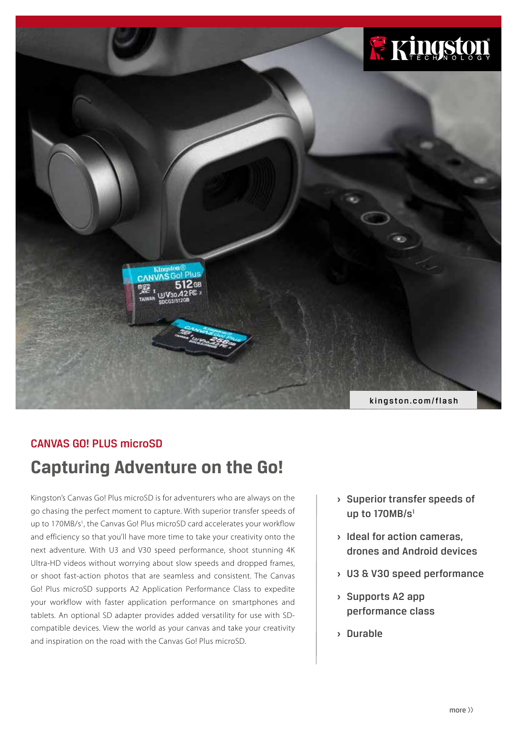

## CANVAS GO! PLUS microSD

# **Capturing Adventure on the Go!**

Kingston's Canvas Go! Plus microSD is for adventurers who are always on the go chasing the perfect moment to capture. With superior transfer speeds of up to 170MB/s<sup>1</sup>, the Canvas Go! Plus microSD card accelerates your workflow and efficiency so that you'll have more time to take your creativity onto the next adventure. With U3 and V30 speed performance, shoot stunning 4K Ultra-HD videos without worrying about slow speeds and dropped frames, or shoot fast-action photos that are seamless and consistent. The Canvas Go! Plus microSD supports A2 Application Performance Class to expedite your workflow with faster application performance on smartphones and tablets. An optional SD adapter provides added versatility for use with SDcompatible devices. View the world as your canvas and take your creativity and inspiration on the road with the Canvas Go! Plus microSD.

- **›** Superior transfer speeds of up to  $170MB/s<sup>1</sup>$
- **›** Ideal for action cameras, drones and Android devices
- **›** U3 & V30 speed performance
- **›** Supports A2 app performance class
- **›** Durable